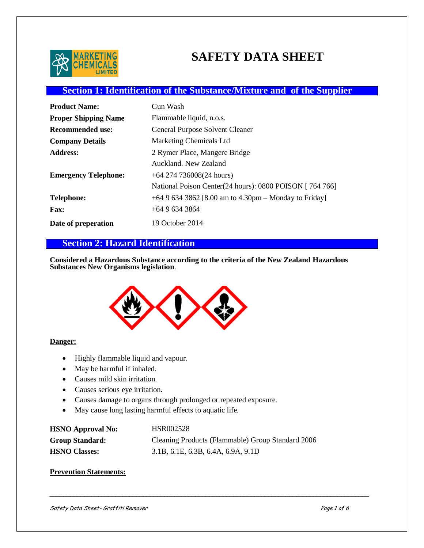

# **SAFETY DATA SHEET**

## **Section 1: Identification of the Substance/Mixture and of the Supplier**

| <b>Product Name:</b>        | Gun Wash                                                 |
|-----------------------------|----------------------------------------------------------|
| <b>Proper Shipping Name</b> | Flammable liquid, n.o.s.                                 |
| <b>Recommended use:</b>     | <b>General Purpose Solvent Cleaner</b>                   |
| <b>Company Details</b>      | Marketing Chemicals Ltd                                  |
| <b>Address:</b>             | 2 Rymer Place, Mangere Bridge                            |
|                             | Auckland, New Zealand                                    |
| <b>Emergency Telephone:</b> | $+64$ 274 736008(24 hours)                               |
|                             | National Poison Center (24 hours): 0800 POISON [764 766] |
| <b>Telephone:</b>           | +64 9 634 3862 [8.00 am to 4.30pm – Monday to Friday]    |
| <b>Fax:</b>                 | $+6496343864$                                            |
| Date of preperation         | 19 October 2014                                          |

## **Section 2: Hazard Identification**

**Considered a Hazardous Substance according to the criteria of the New Zealand Hazardous Substances New Organisms legislation**.



#### **Danger:**

- Highly flammable liquid and vapour.
- May be harmful if inhaled.
- Causes mild skin irritation.
- Causes serious eye irritation.
- Causes damage to organs through prolonged or repeated exposure.
- May cause long lasting harmful effects to aquatic life.

| <b>HSNO Approval No:</b> | HSR002528                                         |
|--------------------------|---------------------------------------------------|
| <b>Group Standard:</b>   | Cleaning Products (Flammable) Group Standard 2006 |
| <b>HSNO Classes:</b>     | 3.1B, 6.1E, 6.3B, 6.4A, 6.9A, 9.1D                |

#### **Prevention Statements:**

Safety Data Sheet- Graffiti Remover **Page 1 of 6** and  $P$ age 1 of 6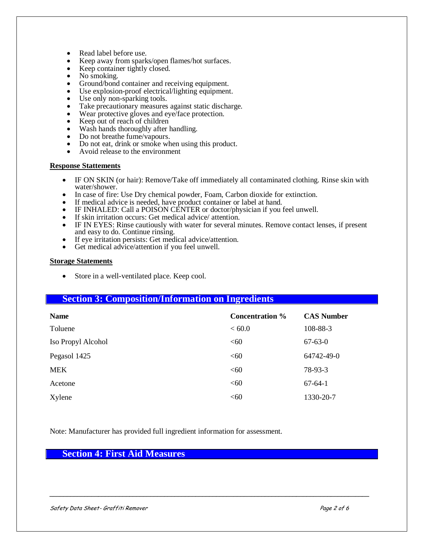- Read label before use.
- Keep away from sparks/open flames/hot surfaces.
- Keep container tightly closed.
- No smoking.
- Ground/bond container and receiving equipment.
- Use explosion-proof electrical/lighting equipment.
- Use only non-sparking tools.
- Take precautionary measures against static discharge.
- Wear protective gloves and eye/face protection.<br> $K$ een out of reach of children
- Keep out of reach of children
- Wash hands thoroughly after handling.
- Do not breathe fume/vapours.
- Do not eat, drink or smoke when using this product.
- Avoid release to the environment

#### **Response Stattements**

- IF ON SKIN (or hair): Remove/Take off immediately all contaminated clothing. Rinse skin with water/shower.
- In case of fire: Use Dry chemical powder, Foam, Carbon dioxide for extinction.
- If medical advice is needed, have product container or label at hand.
- IF INHALED: Call a POISON CENTER or doctor/physician if you feel unwell.
- If skin irritation occurs: Get medical advice/ attention.
- IF IN EYES: Rinse cautiously with water for several minutes. Remove contact lenses, if present and easy to do. Continue rinsing.
- If eye irritation persists: Get medical advice/attention.
- Get medical advice/attention if you feel unwell.

#### **Storage Statements**

• Store in a well-ventilated place. Keep cool.

#### **Section 3: Composition/Information on Ingredients**

| <b>Name</b>        | <b>Concentration %</b> | <b>CAS Number</b> |
|--------------------|------------------------|-------------------|
| Toluene            | < 60.0                 | 108-88-3          |
| Iso Propyl Alcohol | < 60                   | $67 - 63 - 0$     |
| Pegasol 1425       | < 60                   | 64742-49-0        |
| <b>MEK</b>         | <60                    | 78-93-3           |
| Acetone            | <60                    | $67-64-1$         |
| Xylene             | < 60                   | 1330-20-7         |

Note: Manufacturer has provided full ingredient information for assessment.

#### **Section 4: First Aid Measures**

Safety Data Sheet- Graffiti Remover Page 2 of 6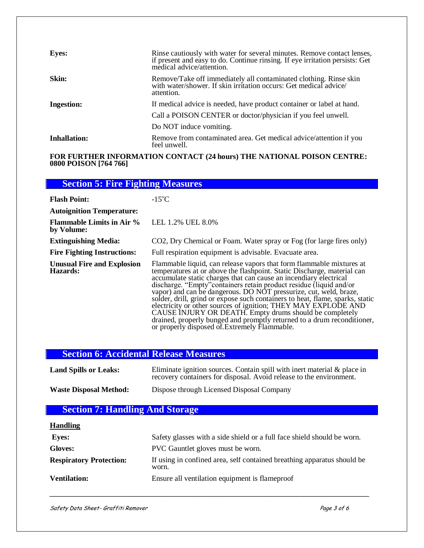| <b>Eyes:</b>      | Rinse cautiously with water for several minutes. Remove contact lenses,<br>if present and easy to do. Continue rinsing. If eye irritation persists: Get<br>medical advice/attention. |
|-------------------|--------------------------------------------------------------------------------------------------------------------------------------------------------------------------------------|
| Skin:             | Remove/Take off immediately all contaminated clothing. Rinse skin<br>with water/shower. If skin irritation occurs: Get medical advice/<br>attention.                                 |
| <b>Ingestion:</b> | If medical advice is needed, have product container or label at hand.                                                                                                                |
|                   | Call a POISON CENTER or doctor/physician if you feel unwell.                                                                                                                         |
|                   | Do NOT induce vomiting.                                                                                                                                                              |
| Inhallation:      | Remove from contaminated area. Get medical advice/attention if you<br>feel unwell.                                                                                                   |

#### **FOR FURTHER INFORMATION CONTACT (24 hours) THE NATIONAL POISON CENTRE: 0800 POISON [764 766]**

| <b>Section 5: Fire Fighting Measures</b>       |                                                                                                                                                                                                                                                                                                                                                                                                                                                                                                                                                                                                                                                           |
|------------------------------------------------|-----------------------------------------------------------------------------------------------------------------------------------------------------------------------------------------------------------------------------------------------------------------------------------------------------------------------------------------------------------------------------------------------------------------------------------------------------------------------------------------------------------------------------------------------------------------------------------------------------------------------------------------------------------|
| <b>Flash Point:</b>                            | $-15^{\circ}$ C                                                                                                                                                                                                                                                                                                                                                                                                                                                                                                                                                                                                                                           |
| <b>Autoignition Temperature:</b>               |                                                                                                                                                                                                                                                                                                                                                                                                                                                                                                                                                                                                                                                           |
| <b>Flammable Limits in Air %</b><br>by Volume: | LEL 1.2% UEL 8.0%                                                                                                                                                                                                                                                                                                                                                                                                                                                                                                                                                                                                                                         |
| <b>Extinguishing Media:</b>                    | CO2, Dry Chemical or Foam. Water spray or Fog (for large fires only)                                                                                                                                                                                                                                                                                                                                                                                                                                                                                                                                                                                      |
| <b>Fire Fighting Instructions:</b>             | Full respiration equipment is advisable. Evacuate area.                                                                                                                                                                                                                                                                                                                                                                                                                                                                                                                                                                                                   |
| <b>Unusual Fire and Explosion</b><br>Hazards:  | Flammable liquid, can release vapors that form flammable mixtures at<br>temperatures at or above the flashpoint. Static Discharge, material can<br>accumulate static charges that can cause an incendiary electrical<br>discharge. "Empty" containers retain product residue (liquid and/or<br>vapor) and can be dangerous. DO NOT pressurize, cut, weld, braze,<br>solder, drill, grind or expose such containers to heat, flame, sparks, static<br>electricity or other sources of ignition; THEY MAY EXPLODE AND<br>CAUSE INJURY OR DEATH. Empty drums should be completely<br>drained, properly bunged and promptly returned to a drum reconditioner, |

## **Section 6: Accidental Release Measures**

| <b>Land Spills or Leaks:</b>  | Eliminate ignition sources. Contain spill with inert material $\&$ place in<br>recovery containers for disposal. Avoid release to the environment. |
|-------------------------------|----------------------------------------------------------------------------------------------------------------------------------------------------|
| <b>Waste Disposal Method:</b> | Dispose through Licensed Disposal Company                                                                                                          |

or properly disposed of.Extremely Flammable.

# **Section 7: Handling And Storage**

| <b>Handling</b>                |                                                                                  |
|--------------------------------|----------------------------------------------------------------------------------|
| <b>Eves:</b>                   | Safety glasses with a side shield or a full face shield should be worn.          |
| <b>Gloves:</b>                 | PVC Gauntlet gloves must be worn.                                                |
| <b>Respiratory Protection:</b> | If using in confined area, self contained breathing apparatus should be<br>worn. |
| <b>Ventilation:</b>            | Ensure all ventilation equipment is flameproof                                   |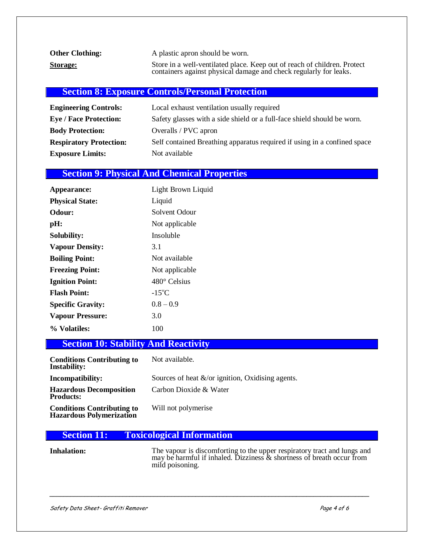| <b>Other Clothing:</b> | A plastic apron should be worn.                                                                                                               |
|------------------------|-----------------------------------------------------------------------------------------------------------------------------------------------|
| <b>Storage:</b>        | Store in a well-ventilated place. Keep out of reach of children. Protect<br>containers against physical damage and check regularly for leaks. |

## **Section 8: Exposure Controls/Personal Protection**

| <b>Engineering Controls:</b>   | Local exhaust ventilation usually required                               |
|--------------------------------|--------------------------------------------------------------------------|
| <b>Eye / Face Protection:</b>  | Safety glasses with a side shield or a full-face shield should be worn.  |
| <b>Body Protection:</b>        | Overalls / PVC apron                                                     |
| <b>Respiratory Protection:</b> | Self contained Breathing apparatus required if using in a confined space |
| <b>Exposure Limits:</b>        | Not available                                                            |

## **Section 9: Physical And Chemical Properties**

| Appearance:              | Light Brown Liquid  |
|--------------------------|---------------------|
| <b>Physical State:</b>   | Liquid              |
| <b>Odour:</b>            | Solvent Odour       |
| pH:                      | Not applicable      |
| <b>Solubility:</b>       | Insoluble           |
| <b>Vapour Density:</b>   | 3.1                 |
| <b>Boiling Point:</b>    | Not available       |
| <b>Freezing Point:</b>   | Not applicable      |
| <b>Ignition Point:</b>   | $480^\circ$ Celsius |
| <b>Flash Point:</b>      | $-15^{\circ}$ C     |
| <b>Specific Gravity:</b> | $0.8 - 0.9$         |
| <b>Vapour Pressure:</b>  | 3.0                 |
| % Volatiles:             | 100                 |

## **Section 10: Stability And Reactivity**

| <b>Conditions Contributing to</b><br><b>Instability:</b>             | Not available.                                       |
|----------------------------------------------------------------------|------------------------------------------------------|
| Incompatibility:                                                     | Sources of heat $\&$ /or ignition, Oxidising agents. |
| <b>Hazardous Decomposition</b><br><b>Products:</b>                   | Carbon Dioxide & Water                               |
| <b>Conditions Contributing to</b><br><b>Hazardous Polymerization</b> | Will not polymerise                                  |

## **Section 11: Toxicological Information**

**Inhalation:** The vapour is discomforting to the upper respiratory tract and lungs and may be harmful if inhaled. Dizziness & shortness of breath occur from mild poisoning.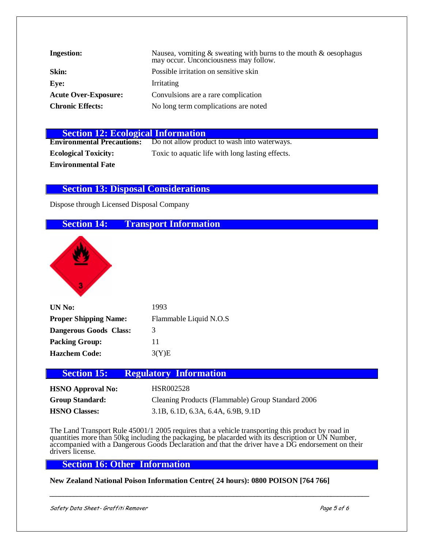| <b>Ingestion:</b>           | Nausea, vomiting $\&$ sweating with burns to the mouth $\&$ oesophagus<br>may occur. Unconciousness may follow. |
|-----------------------------|-----------------------------------------------------------------------------------------------------------------|
| Skin:                       | Possible irritation on sensitive skin                                                                           |
| Eve:                        | Irritating                                                                                                      |
| <b>Acute Over-Exposure:</b> | Convulsions are a rare complication                                                                             |
| <b>Chronic Effects:</b>     | No long term complications are noted                                                                            |

| <b>Section 12: Ecological Information</b> |                                                  |
|-------------------------------------------|--------------------------------------------------|
| <b>Environmental Precautions:</b>         | Do not allow product to wash into waterways.     |
| <b>Ecological Toxicity:</b>               | Toxic to aquatic life with long lasting effects. |
| <b>Environmental Fate</b>                 |                                                  |

### **Section 13: Disposal Considerations**

Dispose through Licensed Disposal Company

## **Section 14: Transport Information**



| UN No:                       | 1993                   |
|------------------------------|------------------------|
| <b>Proper Shipping Name:</b> | Flammable Liquid N.O.S |
| Dangerous Goods Class:       | 3                      |
| <b>Packing Group:</b>        | 11                     |
| <b>Hazchem Code:</b>         | 3(Y)E                  |

### **Section 15: Regulatory Information**

| <b>HSNO Approval No:</b> | HSR002528                                         |
|--------------------------|---------------------------------------------------|
| <b>Group Standard:</b>   | Cleaning Products (Flammable) Group Standard 2006 |
| <b>HSNO Classes:</b>     | 3.1B, 6.1D, 6.3A, 6.4A, 6.9B, 9.1D                |

The Land Transport Rule 45001/1 2005 requires that a vehicle transporting this product by road in quantities more than 50kg including the packaging, be placarded with its description or UN Number, accompanied with a Dangerous Goods Declaration and that the driver have a DG endorsement on their drivers license.

## **Section 16: Other Information**

**New Zealand National Poison Information Centre( 24 hours): 0800 POISON [764 766]**

Safety Data Sheet- Graffiti Remover **Page 5 of 6**